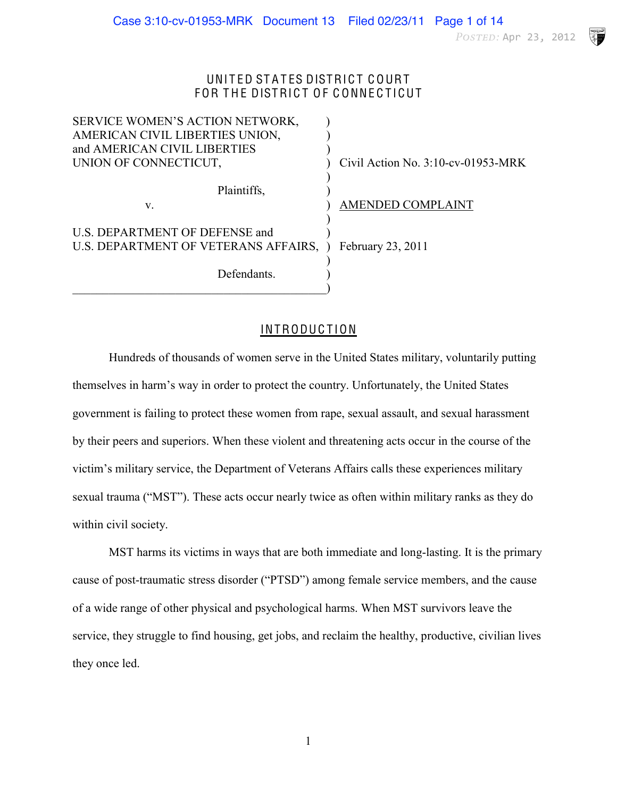POSTED: Apr 23, 2012

V

### UNITED STATES DISTRICT COURT FOR THE DISTRICT OF CONNECTICUT

| SERVICE WOMEN'S ACTION NETWORK,        |                                       |
|----------------------------------------|---------------------------------------|
| AMERICAN CIVIL LIBERTIES UNION,        |                                       |
| and AMERICAN CIVIL LIBERTIES           |                                       |
| UNION OF CONNECTICUT,                  | Civil Action No. $3:10$ -cv-01953-MRK |
|                                        |                                       |
| Plaintiffs,                            |                                       |
| V.                                     | <b>AMENDED COMPLAINT</b>              |
|                                        |                                       |
| U.S. DEPARTMENT OF DEFENSE and         |                                       |
| U.S. DEPARTMENT OF VETERANS AFFAIRS, ) | February 23, 2011                     |
|                                        |                                       |
| Defendants.                            |                                       |
|                                        |                                       |

# INTRODUCTION

Hundreds of thousands of women serve in the United States military, voluntarily putting themselves in harm's way in order to protect the country. Unfortunately, the United States government is failing to protect these women from rape, sexual assault, and sexual harassment by their peers and superiors. When these violent and threatening acts occur in the course of the victim's military service, the Department of Veterans Affairs calls these experiences military sexual trauma ("MST"). These acts occur nearly twice as often within military ranks as they do within civil society.

MST harms its victims in ways that are both immediate and long-lasting. It is the primary cause of post-traumatic stress disorder ("PTSD") among female service members, and the cause of a wide range of other physical and psychological harms. When MST survivors leave the service, they struggle to find housing, get jobs, and reclaim the healthy, productive, civilian lives they once led.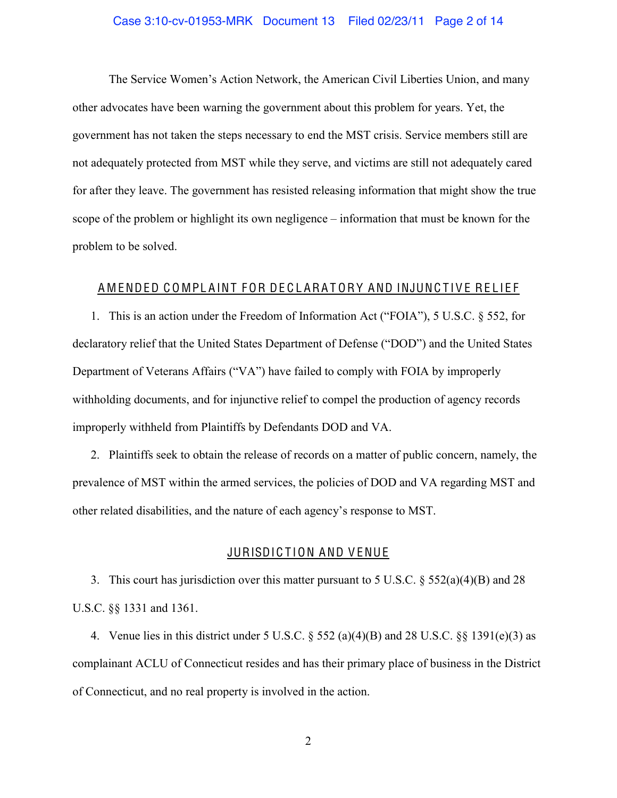### Case 3:10-cv-01953-MRK Document 13 Filed 02/23/11 Page 2 of 14

The Service Women's Action Network, the American Civil Liberties Union, and many other advocates have been warning the government about this problem for years. Yet, the government has not taken the steps necessary to end the MST crisis. Service members still are not adequately protected from MST while they serve, and victims are still not adequately cared for after they leave. The government has resisted releasing information that might show the true scope of the problem or highlight its own negligence – information that must be known for the problem to be solved.

### A MENDED COMPLAINT FOR DECLARATORY AND INJUNCTIVE RELIEF

1. This is an action under the Freedom of Information Act ("FOIA"), 5 U.S.C. § 552, for declaratory relief that the United States Department of Defense ("DOD") and the United States Department of Veterans Affairs ("VA") have failed to comply with FOIA by improperly withholding documents, and for injunctive relief to compel the production of agency records improperly withheld from Plaintiffs by Defendants DOD and VA.

2. Plaintiffs seek to obtain the release of records on a matter of public concern, namely, the prevalence of MST within the armed services, the policies of DOD and VA regarding MST and other related disabilities, and the nature of each agency's response to MST.

### JURISDICTION AND VENUE

3. This court has jurisdiction over this matter pursuant to 5 U.S.C. § 552(a)(4)(B) and 28 U.S.C. §§ 1331 and 1361.

4. Venue lies in this district under 5 U.S.C.  $\S$  552 (a)(4)(B) and 28 U.S.C.  $\S$  $\S$  1391(e)(3) as complainant ACLU of Connecticut resides and has their primary place of business in the District of Connecticut, and no real property is involved in the action.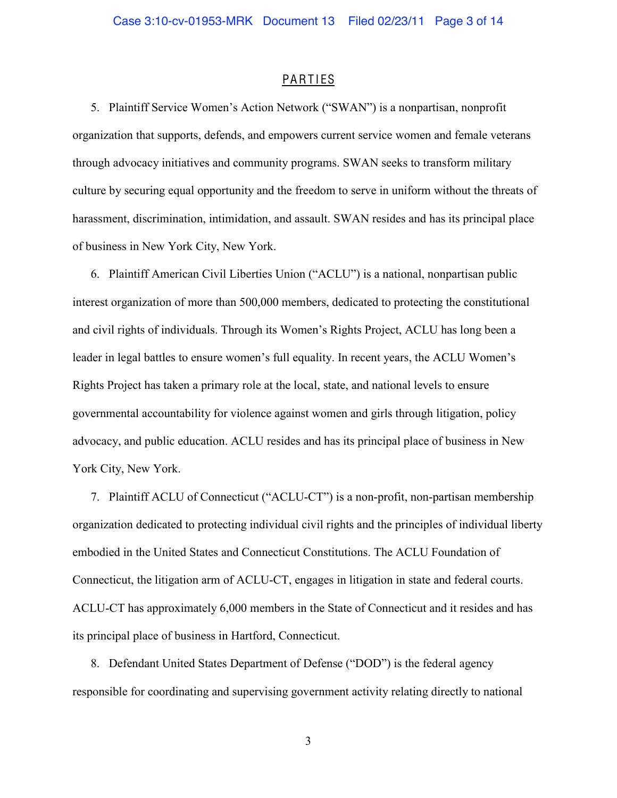### **PARTIES**

5. Plaintiff Service Women's Action Network ("SWAN") is a nonpartisan, nonprofit organization that supports, defends, and empowers current service women and female veterans through advocacy initiatives and community programs. SWAN seeks to transform military culture by securing equal opportunity and the freedom to serve in uniform without the threats of harassment, discrimination, intimidation, and assault. SWAN resides and has its principal place of business in New York City, New York.

6. Plaintiff American Civil Liberties Union ("ACLU") is a national, nonpartisan public interest organization of more than 500,000 members, dedicated to protecting the constitutional and civil rights of individuals. Through its Women's Rights Project, ACLU has long been a leader in legal battles to ensure women's full equality. In recent years, the ACLU Women's Rights Project has taken a primary role at the local, state, and national levels to ensure governmental accountability for violence against women and girls through litigation, policy advocacy, and public education. ACLU resides and has its principal place of business in New York City, New York.

7. Plaintiff ACLU of Connecticut ("ACLU-CT") is a non-profit, non-partisan membership organization dedicated to protecting individual civil rights and the principles of individual liberty embodied in the United States and Connecticut Constitutions. The ACLU Foundation of Connecticut, the litigation arm of ACLU-CT, engages in litigation in state and federal courts. ACLU-CT has approximately 6,000 members in the State of Connecticut and it resides and has its principal place of business in Hartford, Connecticut.

8. Defendant United States Department of Defense ("DOD") is the federal agency responsible for coordinating and supervising government activity relating directly to national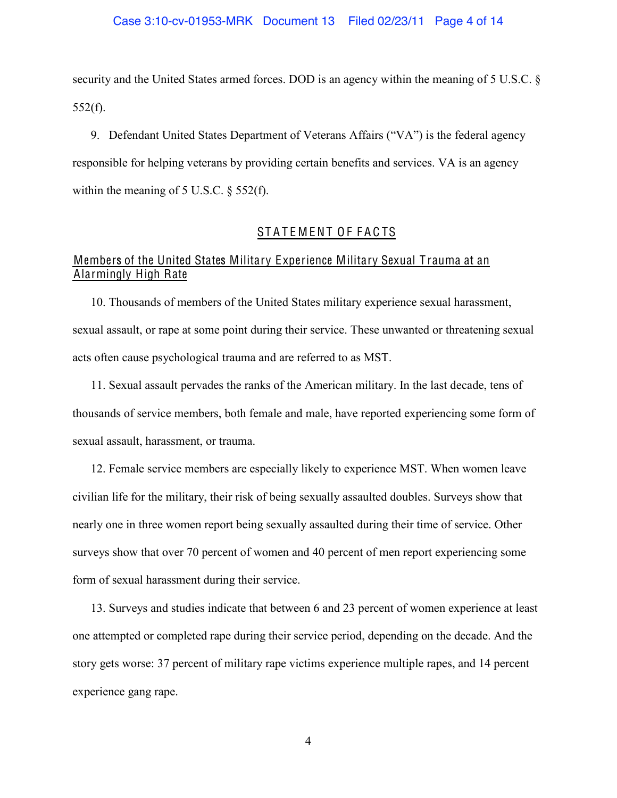### Case 3:10-cv-01953-MRK Document 13 Filed 02/23/11 Page 4 of 14

security and the United States armed forces. DOD is an agency within the meaning of 5 U.S.C.  $\delta$  $552(f)$ .

9. Defendant United States Department of Veterans Affairs ("VA") is the federal agency responsible for helping veterans by providing certain benefits and services. VA is an agency within the meaning of 5 U.S.C. § 552(f).

### STATEMENT OF FACTS

# Members of the United States Military Experience Military Sexual Trauma at an Alarmingly High Rate

10. Thousands of members of the United States military experience sexual harassment, sexual assault, or rape at some point during their service. These unwanted or threatening sexual acts often cause psychological trauma and are referred to as MST.

11. Sexual assault pervades the ranks of the American military. In the last decade, tens of thousands of service members, both female and male, have reported experiencing some form of sexual assault, harassment, or trauma.

12. Female service members are especially likely to experience MST. When women leave civilian life for the military, their risk of being sexually assaulted doubles. Surveys show that nearly one in three women report being sexually assaulted during their time of service. Other surveys show that over 70 percent of women and 40 percent of men report experiencing some form of sexual harassment during their service.

13. Surveys and studies indicate that between 6 and 23 percent of women experience at least one attempted or completed rape during their service period, depending on the decade. And the story gets worse: 37 percent of military rape victims experience multiple rapes, and 14 percent experience gang rape.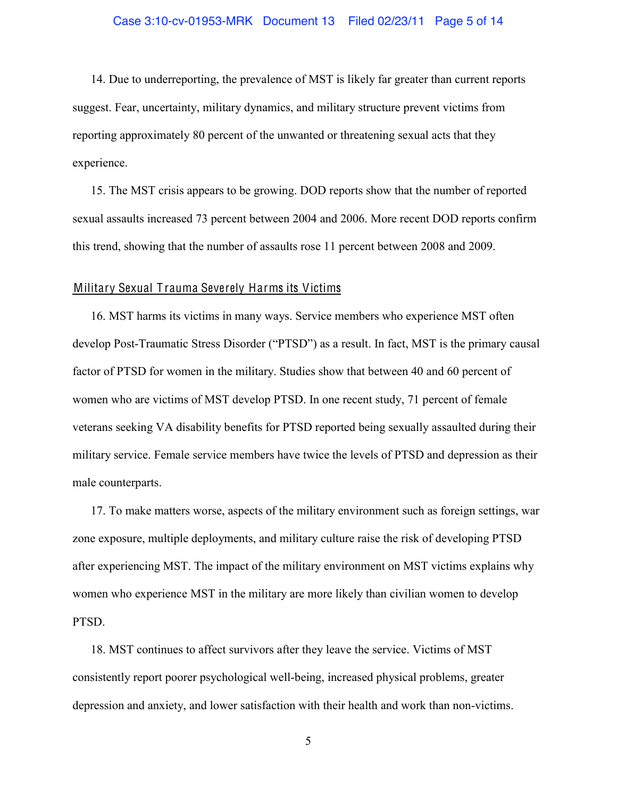### Case 3:10-cv-01953-MRK Document 13 Filed 02/23/11 Page 5 of 14

14. Due to underreporting, the prevalence of MST is likely far greater than current reports suggest. Fear, uncertainty, military dynamics, and military structure prevent victims from reporting approximately 80 percent of the unwanted or threatening sexual acts that they experience.

15. The MST crisis appears to be growing. DOD reports show that the number of reported sexual assaults increased 73 percent between 2004 and 2006. More recent DOD reports confirm this trend, showing that the number of assaults rose 11 percent between 2008 and 2009.

#### Military Sexual T rauma Severely Harms its Victims

16. MST harms its victims in many ways. Service members who experience MST often develop Post-Traumatic Stress Disorder ("PTSD") as a result. In fact, MST is the primary causal factor of PTSD for women in the military. Studies show that between 40 and 60 percent of women who are victims of MST develop PTSD. In one recent study, 71 percent of female veterans seeking VA disability benefits for PTSD reported being sexually assaulted during their military service. Female service members have twice the levels of PTSD and depression as their male counterparts.

17. To make matters worse, aspects of the military environment such as foreign settings, war zone exposure, multiple deployments, and military culture raise the risk of developing PTSD after experiencing MST. The impact of the military environment on MST victims explains why women who experience MST in the military are more likely than civilian women to develop PTSD.

18. MST continues to affect survivors after they leave the service. Victims of MST consistently report poorer psychological well-being, increased physical problems, greater depression and anxiety, and lower satisfaction with their health and work than non-victims.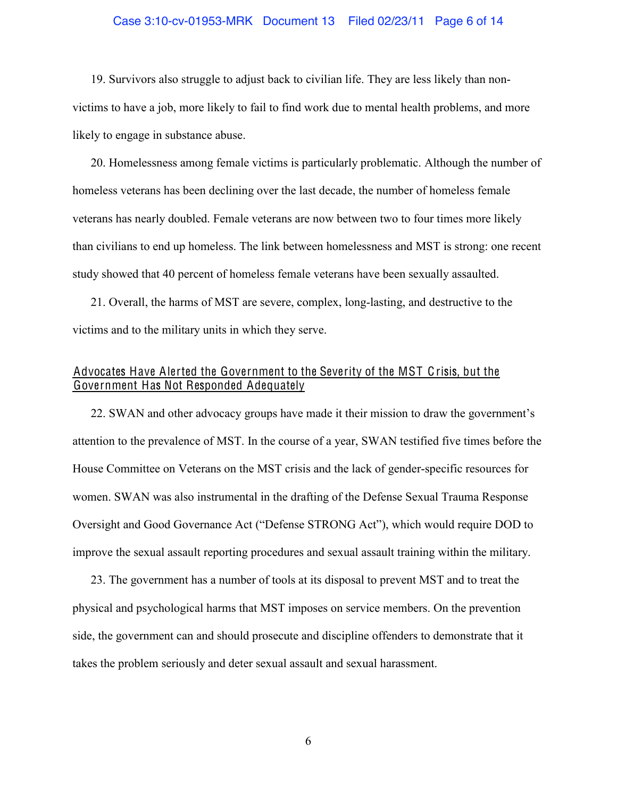### Case 3:10-cv-01953-MRK Document 13 Filed 02/23/11 Page 6 of 14

19. Survivors also struggle to adjust back to civilian life. They are less likely than nonvictims to have a job, more likely to fail to find work due to mental health problems, and more likely to engage in substance abuse.

20. Homelessness among female victims is particularly problematic. Although the number of homeless veterans has been declining over the last decade, the number of homeless female veterans has nearly doubled. Female veterans are now between two to four times more likely than civilians to end up homeless. The link between homelessness and MST is strong: one recent study showed that 40 percent of homeless female veterans have been sexually assaulted.

21. Overall, the harms of MST are severe, complex, long-lasting, and destructive to the victims and to the military units in which they serve.

# Advocates Have Alerted the Government to the Severity of the MST Crisis, but the Government Has Not Responded Adequately

22. SWAN and other advocacy groups have made it their mission to draw the government's attention to the prevalence of MST. In the course of a year, SWAN testified five times before the House Committee on Veterans on the MST crisis and the lack of gender-specific resources for women. SWAN was also instrumental in the drafting of the Defense Sexual Trauma Response Oversight and Good Governance Act ("Defense STRONG Act"), which would require DOD to improve the sexual assault reporting procedures and sexual assault training within the military.

23. The government has a number of tools at its disposal to prevent MST and to treat the physical and psychological harms that MST imposes on service members. On the prevention side, the government can and should prosecute and discipline offenders to demonstrate that it takes the problem seriously and deter sexual assault and sexual harassment.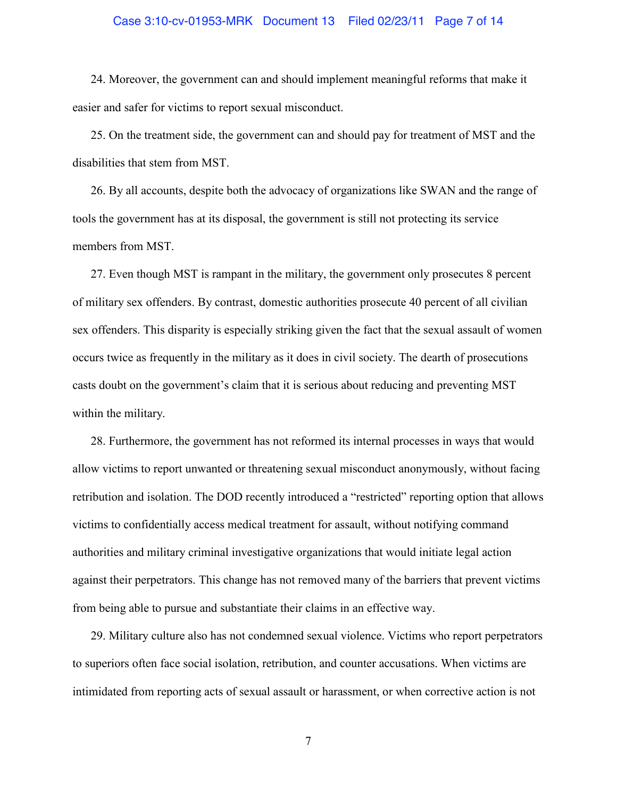### Case 3:10-cv-01953-MRK Document 13 Filed 02/23/11 Page 7 of 14

24. Moreover, the government can and should implement meaningful reforms that make it easier and safer for victims to report sexual misconduct.

25. On the treatment side, the government can and should pay for treatment of MST and the disabilities that stem from MST.

26. By all accounts, despite both the advocacy of organizations like SWAN and the range of tools the government has at its disposal, the government is still not protecting its service members from MST.

27. Even though MST is rampant in the military, the government only prosecutes 8 percent of military sex offenders. By contrast, domestic authorities prosecute 40 percent of all civilian sex offenders. This disparity is especially striking given the fact that the sexual assault of women occurs twice as frequently in the military as it does in civil society. The dearth of prosecutions casts doubt on the government's claim that it is serious about reducing and preventing MST within the military.

28. Furthermore, the government has not reformed its internal processes in ways that would allow victims to report unwanted or threatening sexual misconduct anonymously, without facing retribution and isolation. The DOD recently introduced a "restricted" reporting option that allows victims to confidentially access medical treatment for assault, without notifying command authorities and military criminal investigative organizations that would initiate legal action against their perpetrators. This change has not removed many of the barriers that prevent victims from being able to pursue and substantiate their claims in an effective way.

29. Military culture also has not condemned sexual violence. Victims who report perpetrators to superiors often face social isolation, retribution, and counter accusations. When victims are intimidated from reporting acts of sexual assault or harassment, or when corrective action is not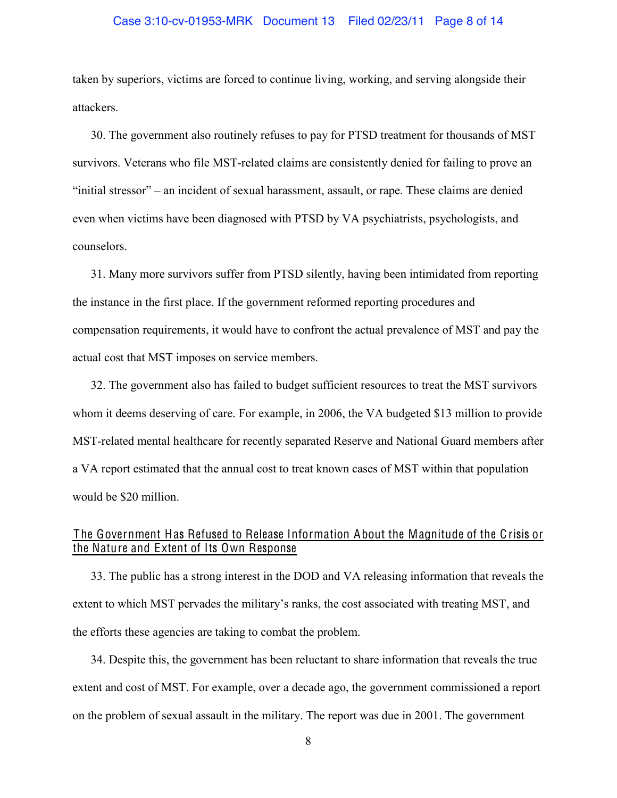### Case 3:10-cv-01953-MRK Document 13 Filed 02/23/11 Page 8 of 14

taken by superiors, victims are forced to continue living, working, and serving alongside their attackers.

30. The government also routinely refuses to pay for PTSD treatment for thousands of MST survivors. Veterans who file MST-related claims are consistently denied for failing to prove an "initial stressor" – an incident of sexual harassment, assault, or rape. These claims are denied even when victims have been diagnosed with PTSD by VA psychiatrists, psychologists, and counselors.

31. Many more survivors suffer from PTSD silently, having been intimidated from reporting the instance in the first place. If the government reformed reporting procedures and compensation requirements, it would have to confront the actual prevalence of MST and pay the actual cost that MST imposes on service members.

32. The government also has failed to budget sufficient resources to treat the MST survivors whom it deems deserving of care. For example, in 2006, the VA budgeted \$13 million to provide MST-related mental healthcare for recently separated Reserve and National Guard members after a VA report estimated that the annual cost to treat known cases of MST within that population would be \$20 million.

# The Government Has Refused to Release Information About the Magnitude of the Crisis or the Nature and Extent of Its Own Response

33. The public has a strong interest in the DOD and VA releasing information that reveals the extent to which MST pervades the military's ranks, the cost associated with treating MST, and the efforts these agencies are taking to combat the problem.

34. Despite this, the government has been reluctant to share information that reveals the true extent and cost of MST. For example, over a decade ago, the government commissioned a report on the problem of sexual assault in the military. The report was due in 2001. The government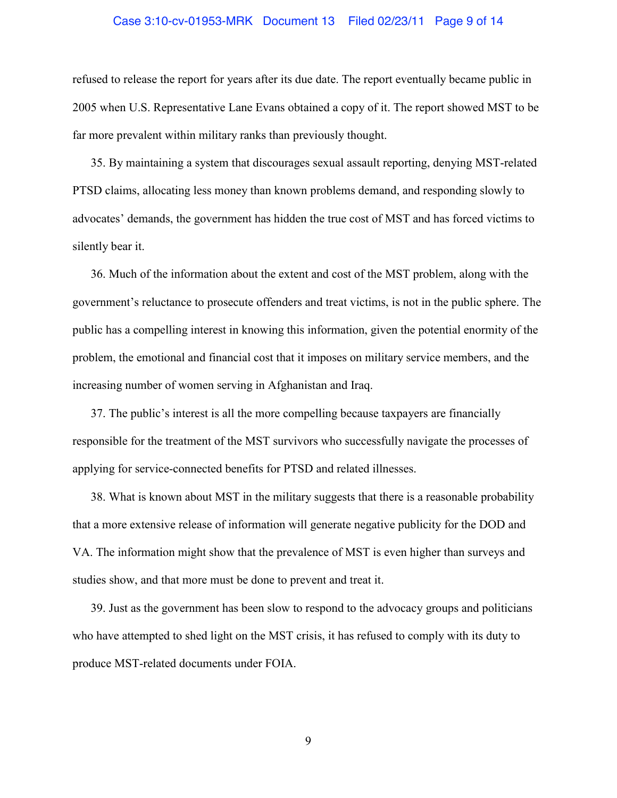### Case 3:10-cv-01953-MRK Document 13 Filed 02/23/11 Page 9 of 14

refused to release the report for years after its due date. The report eventually became public in 2005 when U.S. Representative Lane Evans obtained a copy of it. The report showed MST to be far more prevalent within military ranks than previously thought.

35. By maintaining a system that discourages sexual assault reporting, denying MST-related PTSD claims, allocating less money than known problems demand, and responding slowly to advocates' demands, the government has hidden the true cost of MST and has forced victims to silently bear it.

36. Much of the information about the extent and cost of the MST problem, along with the government's reluctance to prosecute offenders and treat victims, is not in the public sphere. The public has a compelling interest in knowing this information, given the potential enormity of the problem, the emotional and financial cost that it imposes on military service members, and the increasing number of women serving in Afghanistan and Iraq.

37. The public's interest is all the more compelling because taxpayers are financially responsible for the treatment of the MST survivors who successfully navigate the processes of applying for service-connected benefits for PTSD and related illnesses.

38. What is known about MST in the military suggests that there is a reasonable probability that a more extensive release of information will generate negative publicity for the DOD and VA. The information might show that the prevalence of MST is even higher than surveys and studies show, and that more must be done to prevent and treat it.

39. Just as the government has been slow to respond to the advocacy groups and politicians who have attempted to shed light on the MST crisis, it has refused to comply with its duty to produce MST-related documents under FOIA.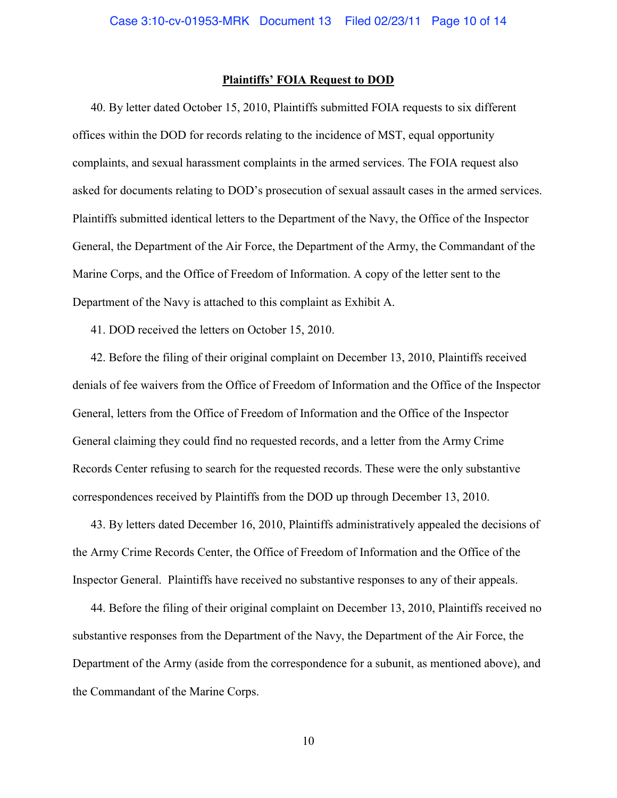### **Plaintiffs' FOIA Request to DOD**

40. By letter dated October 15, 2010, Plaintiffs submitted FOIA requests to six different offices within the DOD for records relating to the incidence of MST, equal opportunity complaints, and sexual harassment complaints in the armed services. The FOIA request also asked for documents relating to DOD's prosecution of sexual assault cases in the armed services. Plaintiffs submitted identical letters to the Department of the Navy, the Office of the Inspector General, the Department of the Air Force, the Department of the Army, the Commandant of the Marine Corps, and the Office of Freedom of Information. A copy of the letter sent to the Department of the Navy is attached to this complaint as Exhibit A.

41. DOD received the letters on October 15, 2010.

42. Before the filing of their original complaint on December 13, 2010, Plaintiffs received denials of fee waivers from the Office of Freedom of Information and the Office of the Inspector General, letters from the Office of Freedom of Information and the Office of the Inspector General claiming they could find no requested records, and a letter from the Army Crime Records Center refusing to search for the requested records. These were the only substantive correspondences received by Plaintiffs from the DOD up through December 13, 2010.

43. By letters dated December 16, 2010, Plaintiffs administratively appealed the decisions of the Army Crime Records Center, the Office of Freedom of Information and the Office of the Inspector General. Plaintiffs have received no substantive responses to any of their appeals.

44. Before the filing of their original complaint on December 13, 2010, Plaintiffs received no substantive responses from the Department of the Navy, the Department of the Air Force, the Department of the Army (aside from the correspondence for a subunit, as mentioned above), and the Commandant of the Marine Corps.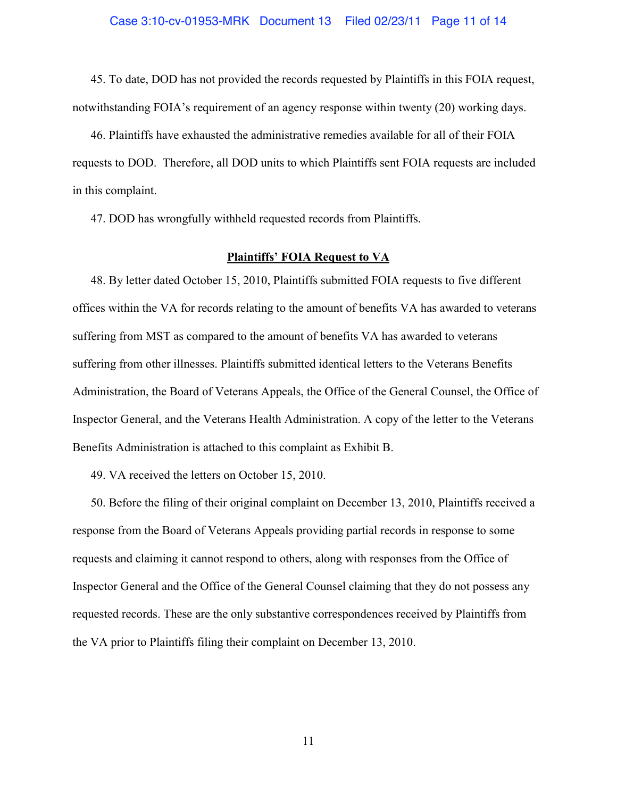45. To date, DOD has not provided the records requested by Plaintiffs in this FOIA request, notwithstanding FOIA's requirement of an agency response within twenty (20) working days.

46. Plaintiffs have exhausted the administrative remedies available for all of their FOIA requests to DOD. Therefore, all DOD units to which Plaintiffs sent FOIA requests are included in this complaint.

47. DOD has wrongfully withheld requested records from Plaintiffs.

### **Plaintiffs' FOIA Request to VA**

48. By letter dated October 15, 2010, Plaintiffs submitted FOIA requests to five different offices within the VA for records relating to the amount of benefits VA has awarded to veterans suffering from MST as compared to the amount of benefits VA has awarded to veterans suffering from other illnesses. Plaintiffs submitted identical letters to the Veterans Benefits Administration, the Board of Veterans Appeals, the Office of the General Counsel, the Office of Inspector General, and the Veterans Health Administration. A copy of the letter to the Veterans Benefits Administration is attached to this complaint as Exhibit B.

49. VA received the letters on October 15, 2010.

50. Before the filing of their original complaint on December 13, 2010, Plaintiffs received a response from the Board of Veterans Appeals providing partial records in response to some requests and claiming it cannot respond to others, along with responses from the Office of Inspector General and the Office of the General Counsel claiming that they do not possess any requested records. These are the only substantive correspondences received by Plaintiffs from the VA prior to Plaintiffs filing their complaint on December 13, 2010.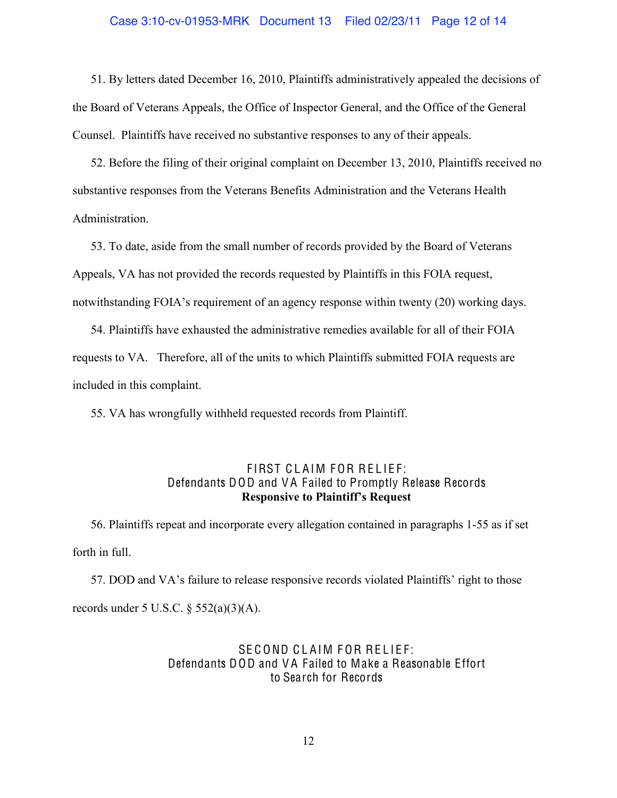### Case 3:10-cv-01953-MRK Document 13 Filed 02/23/11 Page 12 of 14

51. By letters dated December 16, 2010, Plaintiffs administratively appealed the decisions of the Board of Veterans Appeals, the Office of Inspector General, and the Office of the General Counsel. Plaintiffs have received no substantive responses to any of their appeals.

52. Before the filing of their original complaint on December 13, 2010, Plaintiffs received no substantive responses from the Veterans Benefits Administration and the Veterans Health Administration.

53. To date, aside from the small number of records provided by the Board of Veterans Appeals, VA has not provided the records requested by Plaintiffs in this FOIA request, notwithstanding FOIA's requirement of an agency response within twenty (20) working days.

54. Plaintiffs have exhausted the administrative remedies available for all of their FOIA requests to VA. Therefore, all of the units to which Plaintiffs submitted FOIA requests are included in this complaint.

55. VA has wrongfully withheld requested records from Plaintiff.

### FIRST CLAIM FOR RELIEF: Defendants DOD and V A Failed to Promptly Release Records **Responsive to Plaintiff's Request**

56. Plaintiffs repeat and incorporate every allegation contained in paragraphs 1-55 as if set forth in full.

57. DOD and VA's failure to release responsive records violated Plaintiffs' right to those records under 5 U.S.C.  $\S$  552(a)(3)(A).

# SE COND CLAIM FOR RELIEF: Defendants DOD and V A Failed to Make a Reasonable Effort to Search for Records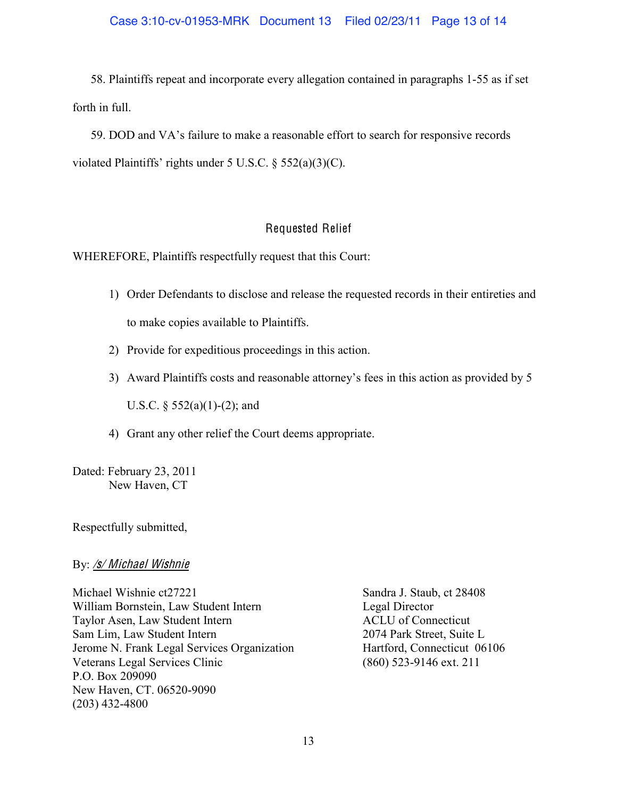58. Plaintiffs repeat and incorporate every allegation contained in paragraphs 1-55 as if set forth in full.

59. DOD and VA's failure to make a reasonable effort to search for responsive records violated Plaintiffs' rights under 5 U.S.C. § 552(a)(3)(C).

# Requested Relief

WHEREFORE, Plaintiffs respectfully request that this Court:

- 1) Order Defendants to disclose and release the requested records in their entireties and to make copies available to Plaintiffs.
- 2) Provide for expeditious proceedings in this action.
- 3) Award Plaintiffs costs and reasonable attorney's fees in this action as provided by 5

U.S.C.  $\S 552(a)(1)-(2)$ ; and

4) Grant any other relief the Court deems appropriate.

Dated: February 23, 2011 New Haven, CT

Respectfully submitted,

By: /s/ Michael Wishnie

Michael Wishnie ct27221 Sandra J. Staub, ct 28408 William Bornstein, Law Student Intern Legal Director Taylor Asen, Law Student Intern ACLU of Connecticut Sam Lim, Law Student Intern 2074 Park Street, Suite L Jerome N. Frank Legal Services Organization Hartford, Connecticut 06106 Veterans Legal Services Clinic (860) 523-9146 ext. 211 P.O. Box 209090 New Haven, CT. 06520-9090 (203) 432-4800